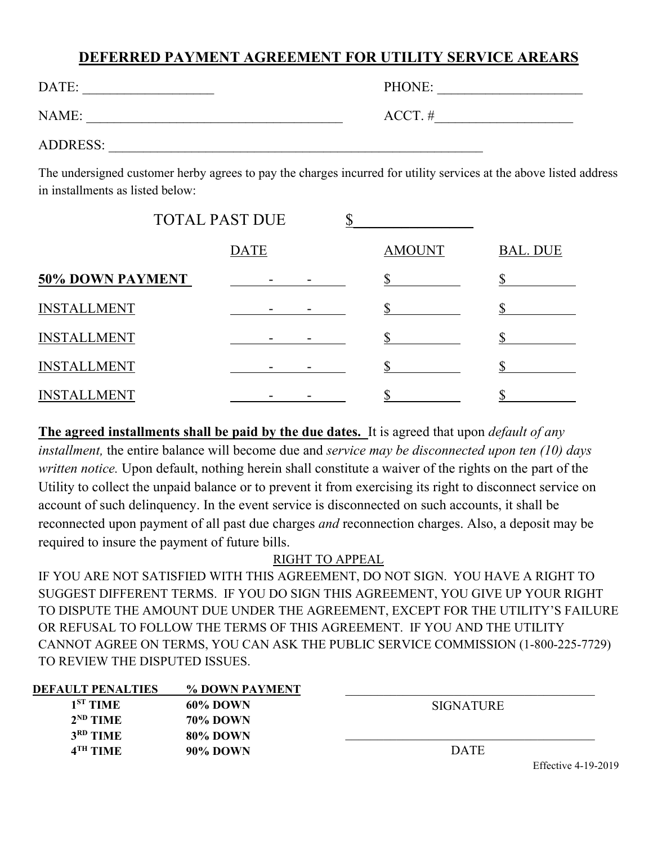## **DEFERRED PAYMENT AGREEMENT FOR UTILITY SERVICE AREARS**

| DATE:           | PHONE:     |
|-----------------|------------|
| NAME:           | $ACCT. \#$ |
| <b>ADDRESS:</b> |            |

The undersigned customer herby agrees to pay the charges incurred for utility services at the above listed address in installments as listed below:

|                         | <b>TOTAL PAST DUE</b> |               |                 |
|-------------------------|-----------------------|---------------|-----------------|
|                         | DATE                  | <b>AMOUNT</b> | <b>BAL. DUE</b> |
| <b>50% DOWN PAYMENT</b> |                       |               |                 |
| <b>INSTALLMENT</b>      |                       |               |                 |
| <b>INSTALLMENT</b>      |                       |               |                 |
| <b>INSTALLMENT</b>      |                       |               |                 |
| <b>INSTALLMENT</b>      |                       |               |                 |

**The agreed installments shall be paid by the due dates.** It is agreed that upon *default of any installment,* the entire balance will become due and *service may be disconnected upon ten (10) days written notice.* Upon default, nothing herein shall constitute a waiver of the rights on the part of the Utility to collect the unpaid balance or to prevent it from exercising its right to disconnect service on account of such delinquency. In the event service is disconnected on such accounts, it shall be reconnected upon payment of all past due charges *and* reconnection charges. Also, a deposit may be required to insure the payment of future bills.

## RIGHT TO APPEAL

IF YOU ARE NOT SATISFIED WITH THIS AGREEMENT, DO NOT SIGN. YOU HAVE A RIGHT TO SUGGEST DIFFERENT TERMS. IF YOU DO SIGN THIS AGREEMENT, YOU GIVE UP YOUR RIGHT TO DISPUTE THE AMOUNT DUE UNDER THE AGREEMENT, EXCEPT FOR THE UTILITY'S FAILURE OR REFUSAL TO FOLLOW THE TERMS OF THIS AGREEMENT. IF YOU AND THE UTILITY CANNOT AGREE ON TERMS, YOU CAN ASK THE PUBLIC SERVICE COMMISSION (1-800-225-7729) TO REVIEW THE DISPUTED ISSUES.

| <b>DEFAULT PENALTIES</b> | % DOWN PAYMENT  |                                      |
|--------------------------|-----------------|--------------------------------------|
| $1ST$ TIME               | 60% DOWN        | <b>SIGNATURE</b>                     |
| $2^{ND}$ TIME            | <b>70% DOWN</b> |                                      |
| 3 <sup>RD</sup> TIME     | 80% DOWN        |                                      |
| $4TH$ TIME               | 90% DOWN        | <b>DATE</b>                          |
|                          |                 | $T_{100}$ $T_{11}$ $T_{10}$ $T_{11}$ |

Effective 4-19-2019